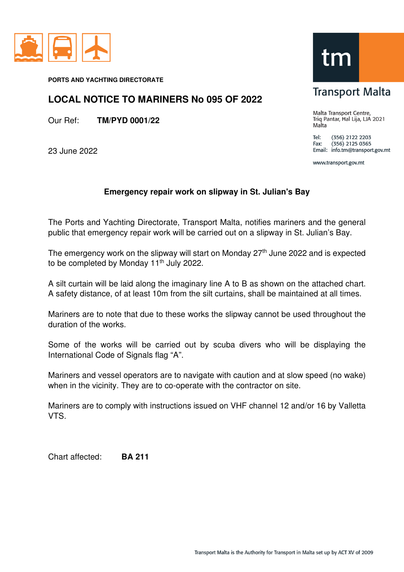

**PORTS AND YACHTING DIRECTORATE** 

## **LOCAL NOTICE TO MARINERS No 095 OF 2022**

Our Ref: **TM/PYD 0001/22**

23 June 2022

## tm

## **Transport Malta**

Malta Transport Centre, Triq Pantar, Hal Lija, LJA 2021 Malta

Tel: (356) 2122 2203  $(356)$  2125 0365 Fax: Email: info.tm@transport.gov.mt

www.transport.gov.mt

## **Emergency repair work on slipway in St. Julian's Bay**

The Ports and Yachting Directorate, Transport Malta, notifies mariners and the general public that emergency repair work will be carried out on a slipway in St. Julian's Bay.

The emergency work on the slipway will start on Monday  $27<sup>th</sup>$  June 2022 and is expected to be completed by Monday 11<sup>th</sup> July 2022.

A silt curtain will be laid along the imaginary line A to B as shown on the attached chart. A safety distance, of at least 10m from the silt curtains, shall be maintained at all times.

Mariners are to note that due to these works the slipway cannot be used throughout the duration of the works.

Some of the works will be carried out by scuba divers who will be displaying the International Code of Signals flag "A".

Mariners and vessel operators are to navigate with caution and at slow speed (no wake) when in the vicinity. They are to co-operate with the contractor on site.

Mariners are to comply with instructions issued on VHF channel 12 and/or 16 by Valletta VTS.

Chart affected: **BA 211**